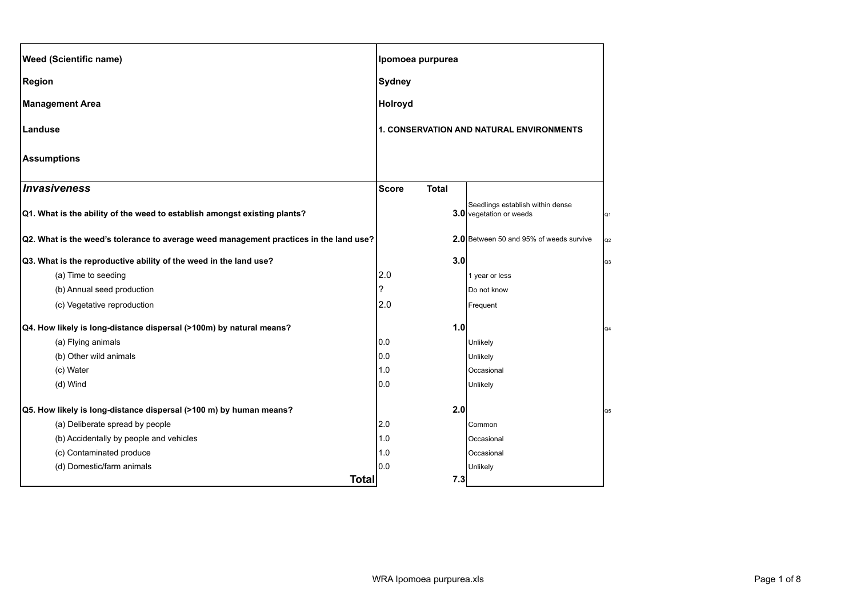| <b>Weed (Scientific name)</b>                                                          |               | Ipomoea purpurea                         |                                                             |                |
|----------------------------------------------------------------------------------------|---------------|------------------------------------------|-------------------------------------------------------------|----------------|
| <b>Region</b>                                                                          | <b>Sydney</b> |                                          |                                                             |                |
| <b>Management Area</b>                                                                 |               | <b>Holroyd</b>                           |                                                             |                |
| Landuse                                                                                |               | 1. CONSERVATION AND NATURAL ENVIRONMENTS |                                                             |                |
| <b>Assumptions</b>                                                                     |               |                                          |                                                             |                |
| Invasiveness                                                                           | <b>Score</b>  | <b>Total</b>                             |                                                             |                |
| Q1. What is the ability of the weed to establish amongst existing plants?              |               |                                          | Seedlings establish within dense<br>3.0 vegetation or weeds | Q <sub>1</sub> |
| Q2. What is the weed's tolerance to average weed management practices in the land use? |               |                                          | 2.0 Between 50 and 95% of weeds survive                     | Q <sub>2</sub> |
| Q3. What is the reproductive ability of the weed in the land use?                      |               | 3.0                                      |                                                             | Q3             |
| (a) Time to seeding                                                                    | 2.0           |                                          | 1 year or less                                              |                |
| (b) Annual seed production                                                             | ?             |                                          | Do not know                                                 |                |
| (c) Vegetative reproduction                                                            | 2.0           |                                          | Frequent                                                    |                |
| Q4. How likely is long-distance dispersal (>100m) by natural means?                    |               | 1.0                                      |                                                             |                |
| (a) Flying animals                                                                     | 0.0           |                                          | Unlikely                                                    |                |
| (b) Other wild animals                                                                 | 0.0           |                                          | Unlikely                                                    |                |
| (c) Water                                                                              | 1.0           |                                          | Occasional                                                  |                |
| (d) Wind                                                                               | 0.0           |                                          | Unlikely                                                    |                |
| Q5. How likely is long-distance dispersal (>100 m) by human means?                     |               | 2.0                                      |                                                             |                |
| (a) Deliberate spread by people                                                        | 2.0           |                                          | Common                                                      |                |
| (b) Accidentally by people and vehicles                                                | 1.0           |                                          | Occasional                                                  |                |
| (c) Contaminated produce                                                               | 1.0           |                                          | Occasional                                                  |                |
| (d) Domestic/farm animals                                                              | 0.0           |                                          | Unlikely                                                    |                |
|                                                                                        | <b>Total</b>  | 7.3                                      |                                                             |                |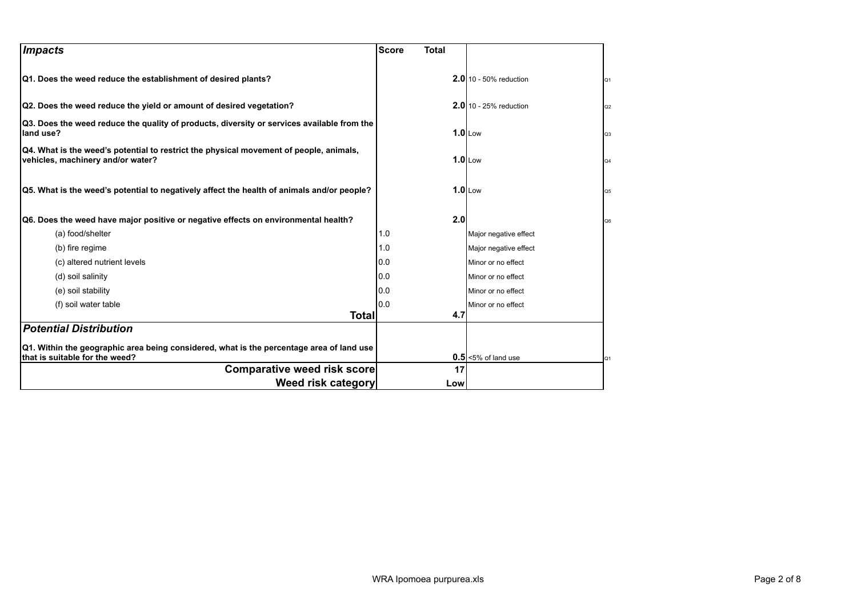| <i><b>Impacts</b></i>                                                                                                       | <b>Score</b><br><b>Total</b> |                                     |
|-----------------------------------------------------------------------------------------------------------------------------|------------------------------|-------------------------------------|
| Q1. Does the weed reduce the establishment of desired plants?                                                               |                              | <b>2.0</b> 10 - 50% reduction<br>Q1 |
| Q2. Does the weed reduce the yield or amount of desired vegetation?                                                         |                              | $2.0$ 10 - 25% reduction<br>Q2      |
| Q3. Does the weed reduce the quality of products, diversity or services available from the<br>land use?                     |                              | $1.0$ Low<br>Q <sub>3</sub>         |
| Q4. What is the weed's potential to restrict the physical movement of people, animals,<br>vehicles, machinery and/or water? |                              | $1.0$ Low<br>Q4                     |
| Q5. What is the weed's potential to negatively affect the health of animals and/or people?                                  |                              | $1.0$ Low<br>Q5                     |
| Q6. Does the weed have major positive or negative effects on environmental health?                                          | 2.0                          | Q6                                  |
| (a) food/shelter                                                                                                            | 1.0                          | Major negative effect               |
| (b) fire regime                                                                                                             | 1.0                          | Major negative effect               |
| (c) altered nutrient levels                                                                                                 | 0.0                          | Minor or no effect                  |
| (d) soil salinity                                                                                                           | 0.0                          | Minor or no effect                  |
| (e) soil stability                                                                                                          | 0.0                          | Minor or no effect                  |
| (f) soil water table                                                                                                        | 0.0                          | Minor or no effect                  |
| Totall                                                                                                                      | 4.7                          |                                     |
| <b>Potential Distribution</b>                                                                                               |                              |                                     |
| Q1. Within the geographic area being considered, what is the percentage area of land use<br>that is suitable for the weed?  |                              | $0.5$ <5% of land use<br>Q1         |
| <b>Comparative weed risk score</b>                                                                                          | 17                           |                                     |
| Weed risk category                                                                                                          | Low                          |                                     |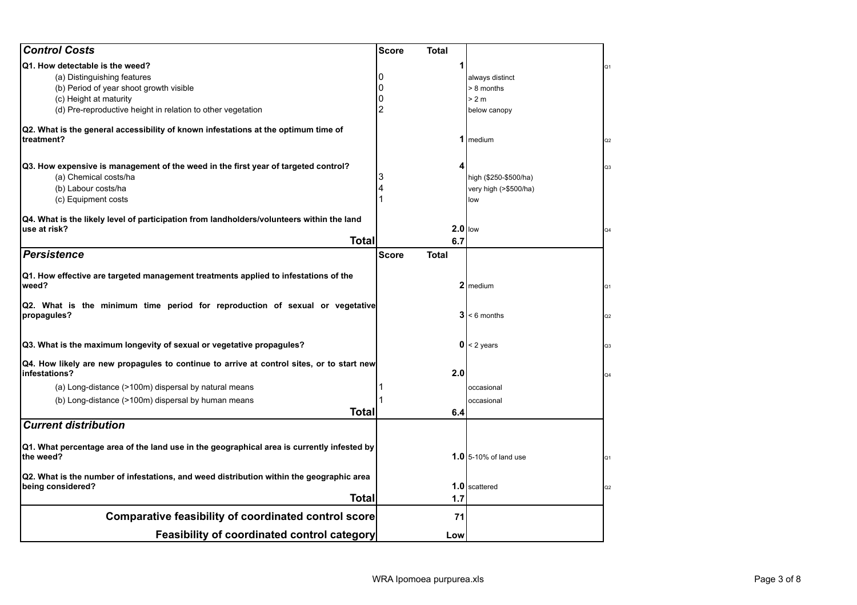| <b>Control Costs</b>                                                                                          | <b>Score</b> | Total        |                              |                |
|---------------------------------------------------------------------------------------------------------------|--------------|--------------|------------------------------|----------------|
| Q1. How detectable is the weed?                                                                               |              |              |                              | Q1             |
| (a) Distinguishing features                                                                                   |              |              | always distinct              |                |
| (b) Period of year shoot growth visible                                                                       |              |              | > 8 months                   |                |
| (c) Height at maturity                                                                                        |              |              | > 2 m                        |                |
| (d) Pre-reproductive height in relation to other vegetation                                                   |              |              | below canopy                 |                |
| Q2. What is the general accessibility of known infestations at the optimum time of<br>treatment?              |              |              | 1 medium                     | Q2             |
| Q3. How expensive is management of the weed in the first year of targeted control?                            |              | 4            |                              | Q3             |
| (a) Chemical costs/ha                                                                                         |              |              | high (\$250-\$500/ha)        |                |
| (b) Labour costs/ha                                                                                           |              |              | very high (>\$500/ha)        |                |
| (c) Equipment costs                                                                                           |              |              | low                          |                |
| Q4. What is the likely level of participation from landholders/volunteers within the land                     |              |              |                              |                |
| use at risk?                                                                                                  |              | $2.0$ llow   |                              | Q4             |
| <b>Total</b>                                                                                                  |              | 6.7          |                              |                |
| <b>Persistence</b>                                                                                            | <b>Score</b> | <b>Total</b> |                              |                |
| Q1. How effective are targeted management treatments applied to infestations of the<br>weed?                  |              |              | 2 medium                     | Q <sub>1</sub> |
| Q2. What is the minimum time period for reproduction of sexual or vegetative<br>propagules?                   |              |              | $3 < 6$ months               | Q2             |
| Q3. What is the maximum longevity of sexual or vegetative propagules?                                         |              |              | $0 < 2$ years                | Q <sub>3</sub> |
| Q4. How likely are new propagules to continue to arrive at control sites, or to start new<br>infestations?    |              | 2.0          |                              | Q4             |
| (a) Long-distance (>100m) dispersal by natural means                                                          |              |              | occasional                   |                |
| (b) Long-distance (>100m) dispersal by human means                                                            |              |              | occasional                   |                |
| <b>Total</b>                                                                                                  |              | 6.4          |                              |                |
| <b>Current distribution</b>                                                                                   |              |              |                              |                |
| Q1. What percentage area of the land use in the geographical area is currently infested by<br>the weed?       |              |              | <b>1.0</b> 5-10% of land use | Q <sub>1</sub> |
| Q2. What is the number of infestations, and weed distribution within the geographic area<br>being considered? |              |              | 1.0 scattered                | Q2             |
| <b>Total</b>                                                                                                  |              | 1.7          |                              |                |
| <b>Comparative feasibility of coordinated control score</b>                                                   |              | 71           |                              |                |
| <b>Feasibility of coordinated control category</b>                                                            |              | Low          |                              |                |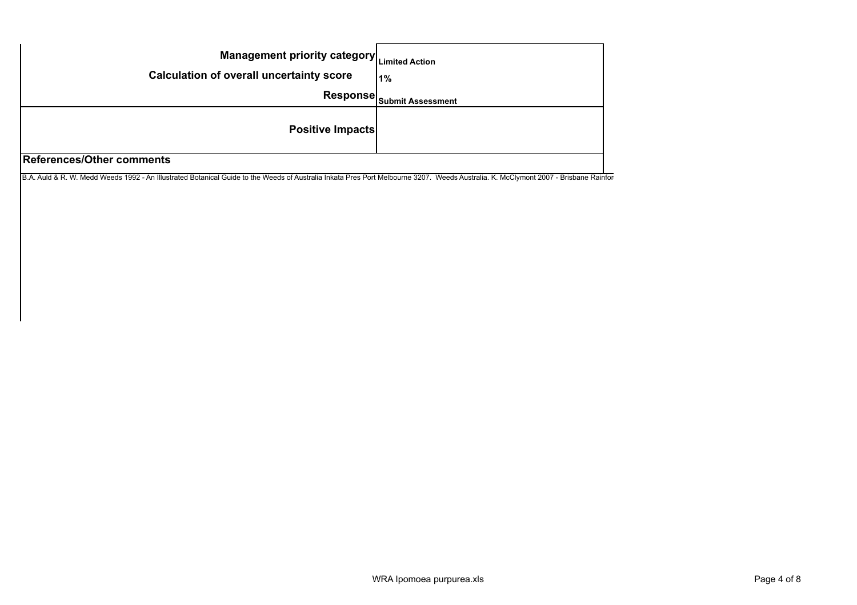| Management priority category Limited Action<br><b>Calculation of overall uncertainty score</b> | 1%                                           |
|------------------------------------------------------------------------------------------------|----------------------------------------------|
|                                                                                                | Response $ _{\mathsf{Submit \, Assessment}}$ |
| <b>Positive Impacts</b>                                                                        |                                              |
| <b>References/Other comments</b>                                                               |                                              |

B.A. Auld & R. W. Medd Weeds 1992 - An Illustrated Botanical Guide to the Weeds of Australia Inkata Pres Port Melbourne 3207. Weeds Australia. K. McClymont 2007 - Brisbane Rainfor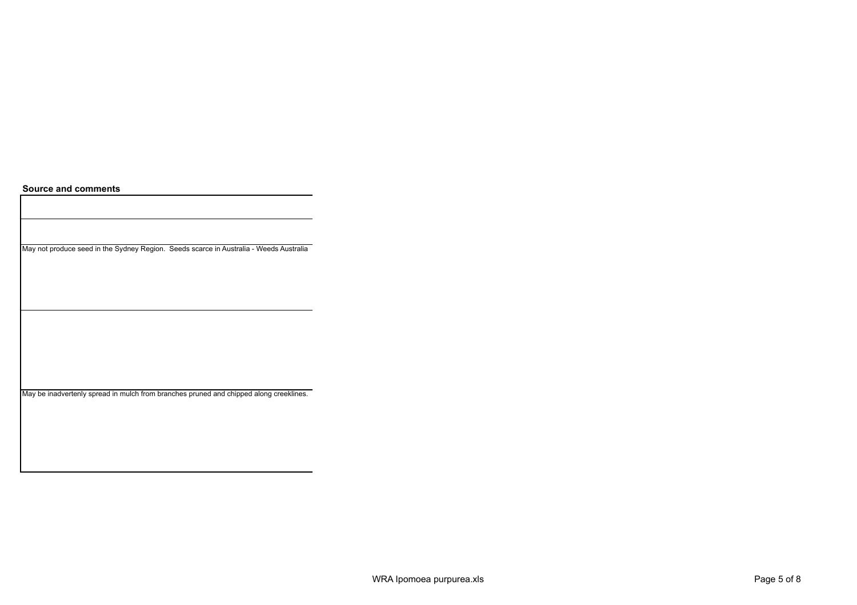**Source and comments**

May not produce seed in the Sydney Region. Seeds scarce in Australia - Weeds Australia

May be inadvertenly spread in mulch from branches pruned and chipped along creeklines.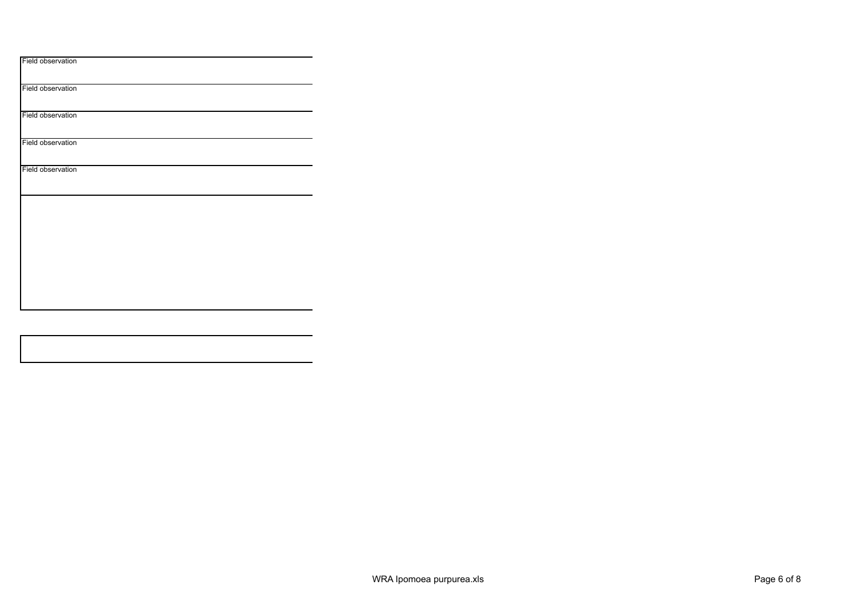| Field observation |  |  |  |
|-------------------|--|--|--|
| Field observation |  |  |  |
| Field observation |  |  |  |
| Field observation |  |  |  |
| Field observation |  |  |  |
|                   |  |  |  |
|                   |  |  |  |
|                   |  |  |  |
|                   |  |  |  |
|                   |  |  |  |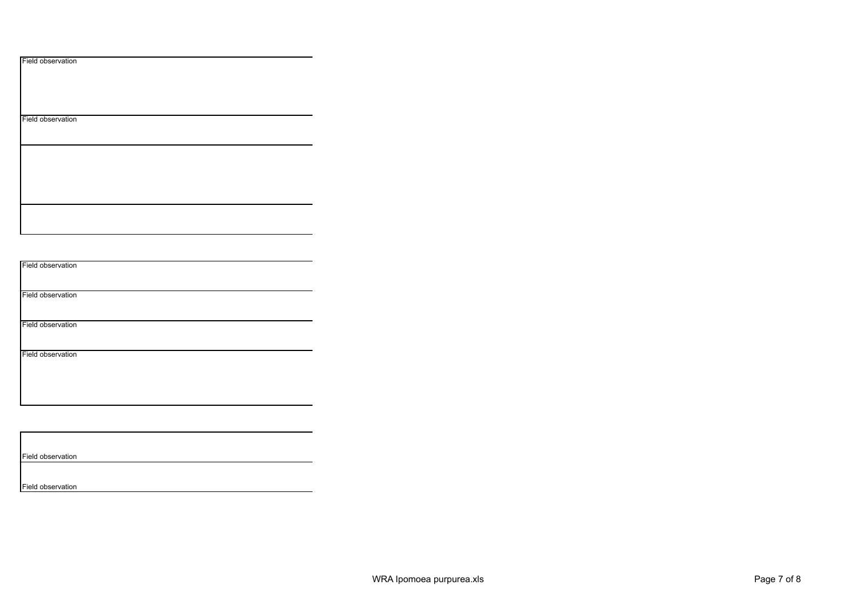|  | Field observation |
|--|-------------------|
|--|-------------------|

Field observation

Field observation

Field observation

Field observation

Field observation

Field observation

Field observation